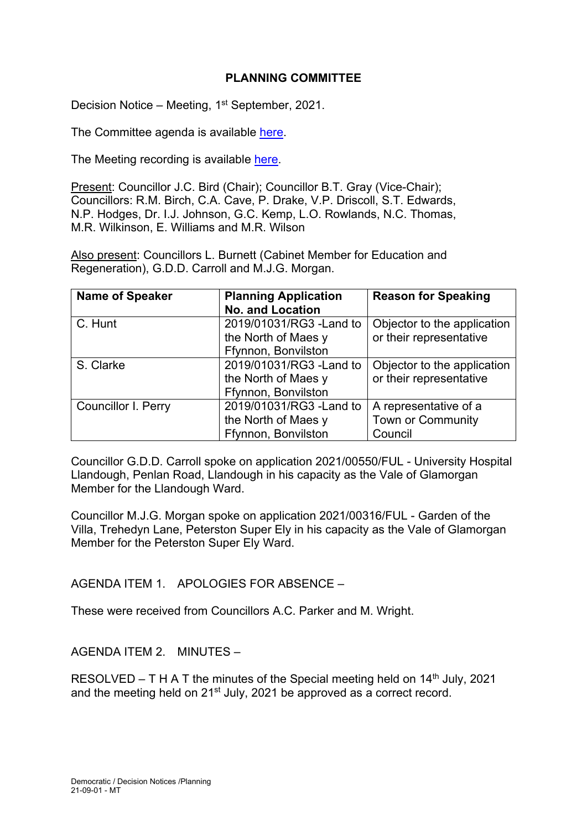# **PLANNING COMMITTEE**

Decision Notice – Meeting, 1<sup>st</sup> September, 2021.

The Committee agenda is available [here.](https://www.valeofglamorgan.gov.uk/en/our_council/Council-Structure/minutes,_agendas_and_reports/agendas/planning/2021/21-09-01.aspx)

The Meeting recording is available [here.](https://youtu.be/BOPmT897f3k)

Present: Councillor J.C. Bird (Chair); Councillor B.T. Gray (Vice-Chair); Councillors: R.M. Birch, C.A. Cave, P. Drake, V.P. Driscoll, S.T. Edwards, N.P. Hodges, Dr. I.J. Johnson, G.C. Kemp, L.O. Rowlands, N.C. Thomas, M.R. Wilkinson, E. Williams and M.R. Wilson

Also present: Councillors L. Burnett (Cabinet Member for Education and Regeneration), G.D.D. Carroll and M.J.G. Morgan.

| <b>Name of Speaker</b>     | <b>Planning Application</b> | <b>Reason for Speaking</b>  |
|----------------------------|-----------------------------|-----------------------------|
|                            | <b>No. and Location</b>     |                             |
| C. Hunt                    | 2019/01031/RG3 - Land to    | Objector to the application |
|                            | the North of Maes y         | or their representative     |
|                            | Ffynnon, Bonvilston         |                             |
| S. Clarke                  | 2019/01031/RG3 - Land to    | Objector to the application |
|                            | the North of Maes y         | or their representative     |
|                            | Ffynnon, Bonvilston         |                             |
| <b>Councillor I. Perry</b> | 2019/01031/RG3 - Land to    | A representative of a       |
|                            | the North of Maes y         | <b>Town or Community</b>    |
|                            | Ffynnon, Bonvilston         | Council                     |

Councillor G.D.D. Carroll spoke on application 2021/00550/FUL - University Hospital Llandough, Penlan Road, Llandough in his capacity as the Vale of Glamorgan Member for the Llandough Ward.

Councillor M.J.G. Morgan spoke on application 2021/00316/FUL - Garden of the Villa, Trehedyn Lane, Peterston Super Ely in his capacity as the Vale of Glamorgan Member for the Peterston Super Ely Ward.

#### AGENDA ITEM 1. APOLOGIES FOR ABSENCE –

These were received from Councillors A.C. Parker and M. Wright.

#### AGENDA ITEM 2. MINUTES –

RESOLVED – T H A T the minutes of the Special meeting held on  $14<sup>th</sup>$  July, 2021 and the meeting held on 21<sup>st</sup> July, 2021 be approved as a correct record.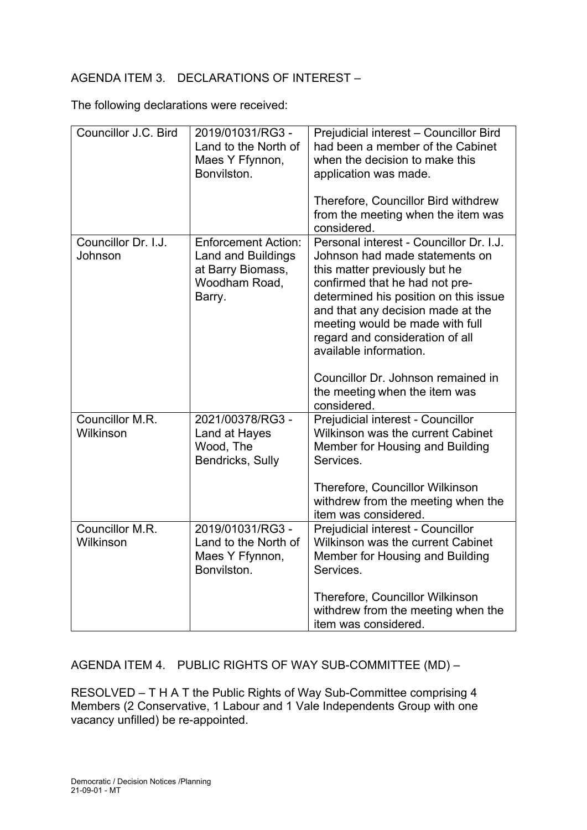# AGENDA ITEM 3. DECLARATIONS OF INTEREST –

The following declarations were received:

| Councillor J.C. Bird           | 2019/01031/RG3-<br>Land to the North of<br>Maes Y Ffynnon,<br>Bonvilston.                               | Prejudicial interest - Councillor Bird<br>had been a member of the Cabinet<br>when the decision to make this<br>application was made.                                                                                                                                                                                      |
|--------------------------------|---------------------------------------------------------------------------------------------------------|----------------------------------------------------------------------------------------------------------------------------------------------------------------------------------------------------------------------------------------------------------------------------------------------------------------------------|
|                                |                                                                                                         | Therefore, Councillor Bird withdrew<br>from the meeting when the item was<br>considered.                                                                                                                                                                                                                                   |
| Councillor Dr. I.J.<br>Johnson | <b>Enforcement Action:</b><br><b>Land and Buildings</b><br>at Barry Biomass,<br>Woodham Road,<br>Barry. | Personal interest - Councillor Dr. I.J.<br>Johnson had made statements on<br>this matter previously but he<br>confirmed that he had not pre-<br>determined his position on this issue<br>and that any decision made at the<br>meeting would be made with full<br>regard and consideration of all<br>available information. |
|                                |                                                                                                         | Councillor Dr. Johnson remained in<br>the meeting when the item was<br>considered.                                                                                                                                                                                                                                         |
| Councillor M.R.<br>Wilkinson   | 2021/00378/RG3-<br>Land at Hayes<br>Wood, The<br>Bendricks, Sully                                       | Prejudicial interest - Councillor<br><b>Wilkinson was the current Cabinet</b><br>Member for Housing and Building<br>Services.                                                                                                                                                                                              |
|                                |                                                                                                         | Therefore, Councillor Wilkinson<br>withdrew from the meeting when the<br>item was considered.                                                                                                                                                                                                                              |
| Councillor M.R.<br>Wilkinson   | 2019/01031/RG3-<br>Land to the North of<br>Maes Y Ffynnon,<br>Bonvilston.                               | Prejudicial interest - Councillor<br><b>Wilkinson was the current Cabinet</b><br>Member for Housing and Building<br>Services.                                                                                                                                                                                              |
|                                |                                                                                                         | Therefore, Councillor Wilkinson<br>withdrew from the meeting when the<br>item was considered.                                                                                                                                                                                                                              |

AGENDA ITEM 4. PUBLIC RIGHTS OF WAY SUB-COMMITTEE (MD) –

RESOLVED – T H A T the Public Rights of Way Sub-Committee comprising 4 Members (2 Conservative, 1 Labour and 1 Vale Independents Group with one vacancy unfilled) be re-appointed.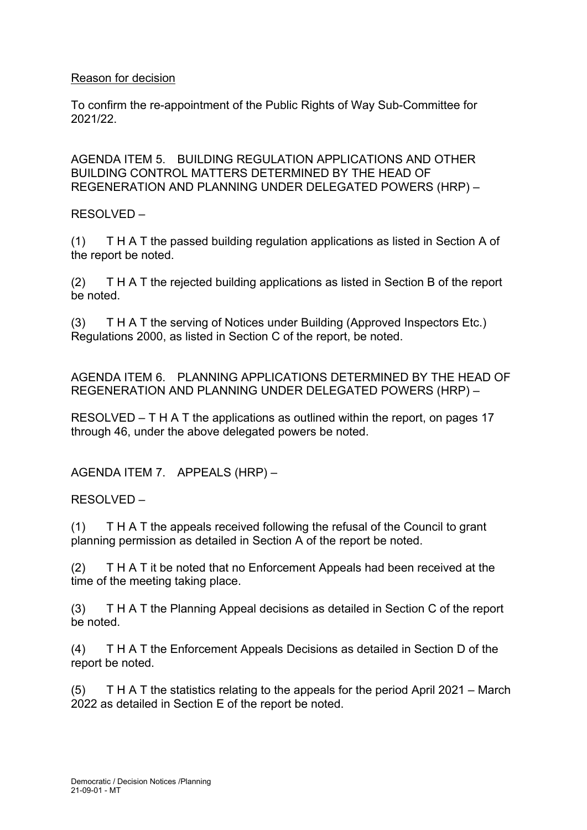# Reason for decision

To confirm the re-appointment of the Public Rights of Way Sub-Committee for 2021/22.

AGENDA ITEM 5. BUILDING REGULATION APPLICATIONS AND OTHER BUILDING CONTROL MATTERS DETERMINED BY THE HEAD OF REGENERATION AND PLANNING UNDER DELEGATED POWERS (HRP) –

RESOLVED –

(1) T H A T the passed building regulation applications as listed in Section A of the report be noted.

(2) T H A T the rejected building applications as listed in Section B of the report be noted.

(3) T H A T the serving of Notices under Building (Approved Inspectors Etc.) Regulations 2000, as listed in Section C of the report, be noted.

AGENDA ITEM 6. PLANNING APPLICATIONS DETERMINED BY THE HEAD OF REGENERATION AND PLANNING UNDER DELEGATED POWERS (HRP) –

RESOLVED – T H A T the applications as outlined within the report, on pages 17 through 46, under the above delegated powers be noted.

AGENDA ITEM 7. APPEALS (HRP) –

RESOLVED –

(1) T H A T the appeals received following the refusal of the Council to grant planning permission as detailed in Section A of the report be noted.

(2) T H A T it be noted that no Enforcement Appeals had been received at the time of the meeting taking place.

(3) T H A T the Planning Appeal decisions as detailed in Section C of the report be noted.

(4) T H A T the Enforcement Appeals Decisions as detailed in Section D of the report be noted.

(5) T H A T the statistics relating to the appeals for the period April 2021 – March 2022 as detailed in Section E of the report be noted.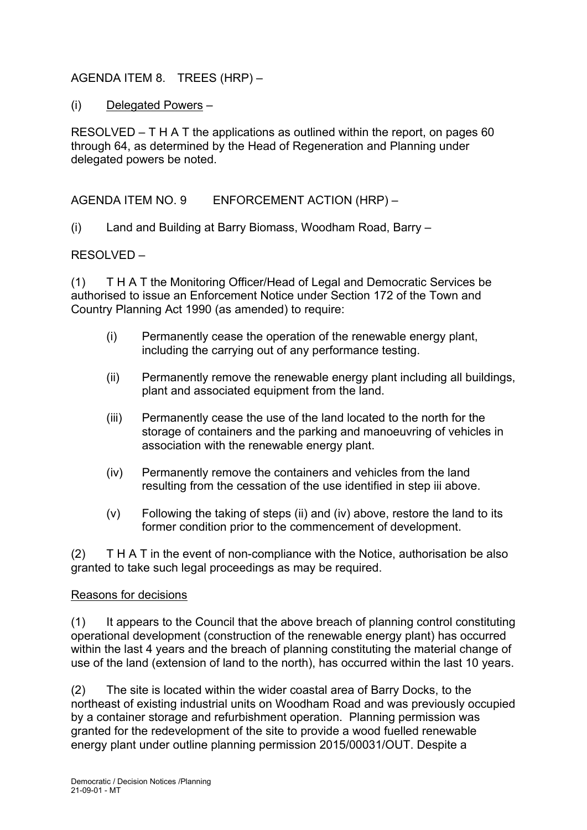# AGENDA ITEM 8. TREES (HRP) –

(i) Delegated Powers –

RESOLVED – T H A T the applications as outlined within the report, on pages 60 through 64, as determined by the Head of Regeneration and Planning under delegated powers be noted.

AGENDA ITEM NO. 9 ENFORCEMENT ACTION (HRP) –

(i) Land and Building at Barry Biomass, Woodham Road, Barry –

RESOLVED –

(1) T H A T the Monitoring Officer/Head of Legal and Democratic Services be authorised to issue an Enforcement Notice under Section 172 of the Town and Country Planning Act 1990 (as amended) to require:

- (i) Permanently cease the operation of the renewable energy plant, including the carrying out of any performance testing.
- (ii) Permanently remove the renewable energy plant including all buildings, plant and associated equipment from the land.
- (iii) Permanently cease the use of the land located to the north for the storage of containers and the parking and manoeuvring of vehicles in association with the renewable energy plant.
- (iv) Permanently remove the containers and vehicles from the land resulting from the cessation of the use identified in step iii above.
- (v) Following the taking of steps (ii) and (iv) above, restore the land to its former condition prior to the commencement of development.

 $(2)$  T H A T in the event of non-compliance with the Notice, authorisation be also granted to take such legal proceedings as may be required.

#### Reasons for decisions

(1) It appears to the Council that the above breach of planning control constituting operational development (construction of the renewable energy plant) has occurred within the last 4 years and the breach of planning constituting the material change of use of the land (extension of land to the north), has occurred within the last 10 years.

(2) The site is located within the wider coastal area of Barry Docks, to the northeast of existing industrial units on Woodham Road and was previously occupied by a container storage and refurbishment operation. Planning permission was granted for the redevelopment of the site to provide a wood fuelled renewable energy plant under outline planning permission 2015/00031/OUT. Despite a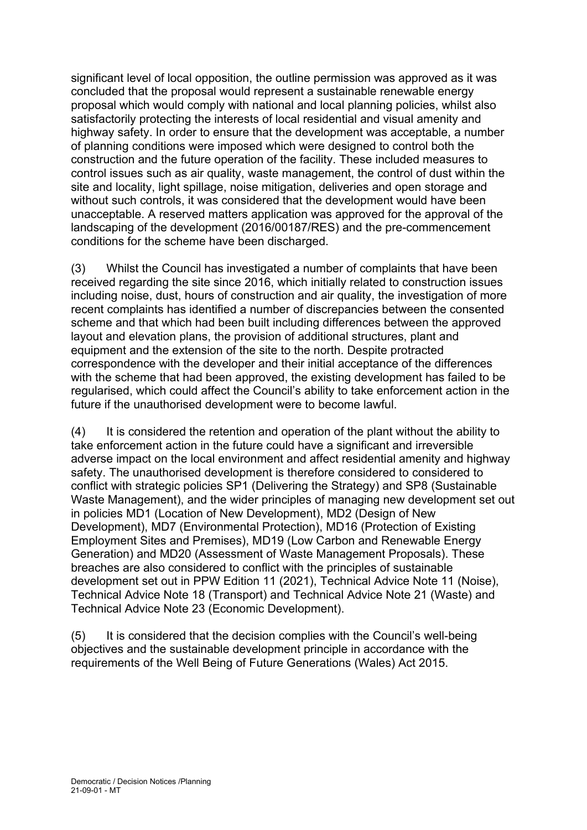significant level of local opposition, the outline permission was approved as it was concluded that the proposal would represent a sustainable renewable energy proposal which would comply with national and local planning policies, whilst also satisfactorily protecting the interests of local residential and visual amenity and highway safety. In order to ensure that the development was acceptable, a number of planning conditions were imposed which were designed to control both the construction and the future operation of the facility. These included measures to control issues such as air quality, waste management, the control of dust within the site and locality, light spillage, noise mitigation, deliveries and open storage and without such controls, it was considered that the development would have been unacceptable. A reserved matters application was approved for the approval of the landscaping of the development (2016/00187/RES) and the pre-commencement conditions for the scheme have been discharged.

(3) Whilst the Council has investigated a number of complaints that have been received regarding the site since 2016, which initially related to construction issues including noise, dust, hours of construction and air quality, the investigation of more recent complaints has identified a number of discrepancies between the consented scheme and that which had been built including differences between the approved layout and elevation plans, the provision of additional structures, plant and equipment and the extension of the site to the north. Despite protracted correspondence with the developer and their initial acceptance of the differences with the scheme that had been approved, the existing development has failed to be regularised, which could affect the Council's ability to take enforcement action in the future if the unauthorised development were to become lawful.

(4) It is considered the retention and operation of the plant without the ability to take enforcement action in the future could have a significant and irreversible adverse impact on the local environment and affect residential amenity and highway safety. The unauthorised development is therefore considered to considered to conflict with strategic policies SP1 (Delivering the Strategy) and SP8 (Sustainable Waste Management), and the wider principles of managing new development set out in policies MD1 (Location of New Development), MD2 (Design of New Development), MD7 (Environmental Protection), MD16 (Protection of Existing Employment Sites and Premises), MD19 (Low Carbon and Renewable Energy Generation) and MD20 (Assessment of Waste Management Proposals). These breaches are also considered to conflict with the principles of sustainable development set out in PPW Edition 11 (2021), Technical Advice Note 11 (Noise), Technical Advice Note 18 (Transport) and Technical Advice Note 21 (Waste) and Technical Advice Note 23 (Economic Development).

(5) It is considered that the decision complies with the Council's well-being objectives and the sustainable development principle in accordance with the requirements of the Well Being of Future Generations (Wales) Act 2015.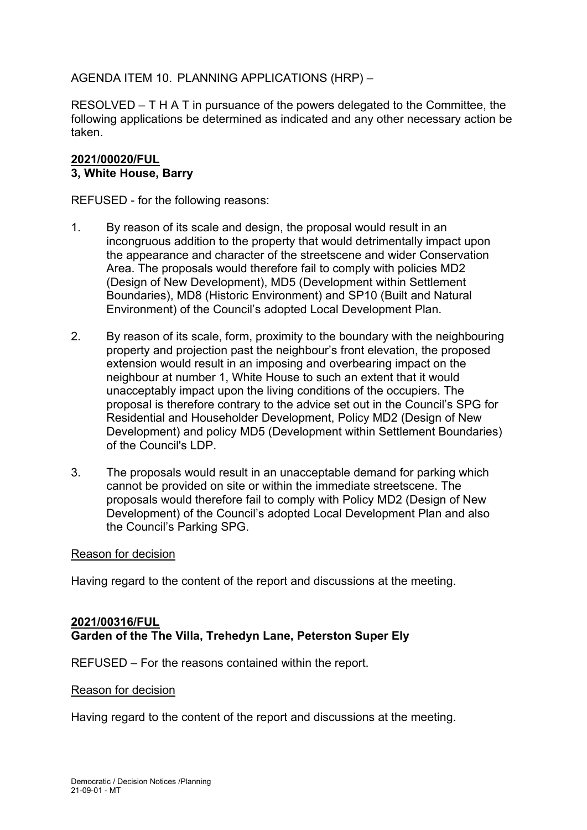AGENDA ITEM 10. PLANNING APPLICATIONS (HRP) –

RESOLVED – T H A T in pursuance of the powers delegated to the Committee, the following applications be determined as indicated and any other necessary action be taken.

# **2021/00020/FUL 3, White House, Barry**

REFUSED - for the following reasons:

- 1. By reason of its scale and design, the proposal would result in an incongruous addition to the property that would detrimentally impact upon the appearance and character of the streetscene and wider Conservation Area. The proposals would therefore fail to comply with policies MD2 (Design of New Development), MD5 (Development within Settlement Boundaries), MD8 (Historic Environment) and SP10 (Built and Natural Environment) of the Council's adopted Local Development Plan.
- 2. By reason of its scale, form, proximity to the boundary with the neighbouring property and projection past the neighbour's front elevation, the proposed extension would result in an imposing and overbearing impact on the neighbour at number 1, White House to such an extent that it would unacceptably impact upon the living conditions of the occupiers. The proposal is therefore contrary to the advice set out in the Council's SPG for Residential and Householder Development, Policy MD2 (Design of New Development) and policy MD5 (Development within Settlement Boundaries) of the Council's LDP.
- 3. The proposals would result in an unacceptable demand for parking which cannot be provided on site or within the immediate streetscene. The proposals would therefore fail to comply with Policy MD2 (Design of New Development) of the Council's adopted Local Development Plan and also the Council's Parking SPG.

#### Reason for decision

Having regard to the content of the report and discussions at the meeting.

# **2021/00316/FUL Garden of the The Villa, Trehedyn Lane, Peterston Super Ely**

REFUSED – For the reasons contained within the report.

#### Reason for decision

Having regard to the content of the report and discussions at the meeting.